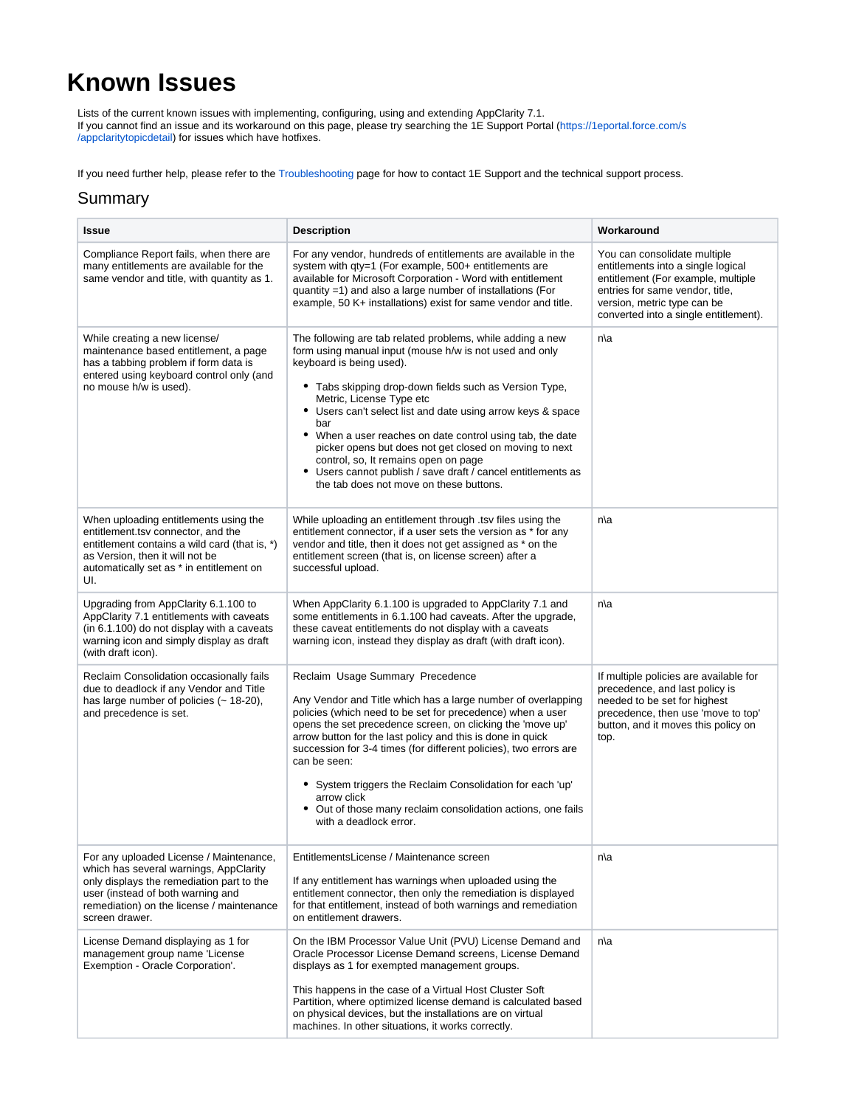## **Known Issues**

Lists of the current known issues with implementing, configuring, using and extending AppClarity 7.1. If you cannot find an issue and its workaround on this page, please try searching the 1E Support Portal ([https://1eportal.force.com/s](https://1eportal.force.com/s/appclaritytopicdetail) [/appclaritytopicdetail](https://1eportal.force.com/s/appclaritytopicdetail)) for issues which have hotfixes.

If you need further help, please refer to the [Troubleshooting](https://help.1e.com/display/TCN51/Troubleshooting) page for how to contact 1E Support and the technical support process.

## Summary

| <b>Issue</b>                                                                                                                                                                                                                       | <b>Description</b>                                                                                                                                                                                                                                                                                                                                                                                                                                                                                                                                                                      | Workaround                                                                                                                                                                                                          |
|------------------------------------------------------------------------------------------------------------------------------------------------------------------------------------------------------------------------------------|-----------------------------------------------------------------------------------------------------------------------------------------------------------------------------------------------------------------------------------------------------------------------------------------------------------------------------------------------------------------------------------------------------------------------------------------------------------------------------------------------------------------------------------------------------------------------------------------|---------------------------------------------------------------------------------------------------------------------------------------------------------------------------------------------------------------------|
| Compliance Report fails, when there are<br>many entitlements are available for the<br>same vendor and title, with quantity as 1.                                                                                                   | For any vendor, hundreds of entitlements are available in the<br>system with qty=1 (For example, 500+ entitlements are<br>available for Microsoft Corporation - Word with entitlement<br>quantity =1) and also a large number of installations (For<br>example, 50 K+ installations) exist for same vendor and title.                                                                                                                                                                                                                                                                   | You can consolidate multiple<br>entitlements into a single logical<br>entitlement (For example, multiple<br>entries for same vendor, title,<br>version, metric type can be<br>converted into a single entitlement). |
| While creating a new license/<br>maintenance based entitlement, a page<br>has a tabbing problem if form data is<br>entered using keyboard control only (and<br>no mouse h/w is used).                                              | The following are tab related problems, while adding a new<br>form using manual input (mouse h/w is not used and only<br>keyboard is being used).<br>• Tabs skipping drop-down fields such as Version Type,<br>Metric, License Type etc<br>• Users can't select list and date using arrow keys & space<br>bar<br>• When a user reaches on date control using tab, the date<br>picker opens but does not get closed on moving to next<br>control, so, It remains open on page<br>• Users cannot publish / save draft / cancel entitlements as<br>the tab does not move on these buttons. | n\a                                                                                                                                                                                                                 |
| When uploading entitlements using the<br>entitlement.tsv connector, and the<br>entitlement contains a wild card (that is, *)<br>as Version, then it will not be<br>automatically set as * in entitlement on<br>UI.                 | While uploading an entitlement through .tsv files using the<br>entitlement connector, if a user sets the version as * for any<br>vendor and title, then it does not get assigned as * on the<br>entitlement screen (that is, on license screen) after a<br>successful upload.                                                                                                                                                                                                                                                                                                           | n\a                                                                                                                                                                                                                 |
| Upgrading from AppClarity 6.1.100 to<br>AppClarity 7.1 entitlements with caveats<br>(in 6.1.100) do not display with a caveats<br>warning icon and simply display as draft<br>(with draft icon).                                   | When AppClarity 6.1.100 is upgraded to AppClarity 7.1 and<br>some entitlements in 6.1.100 had caveats. After the upgrade,<br>these caveat entitlements do not display with a caveats<br>warning icon, instead they display as draft (with draft icon).                                                                                                                                                                                                                                                                                                                                  | n\a                                                                                                                                                                                                                 |
| Reclaim Consolidation occasionally fails<br>due to deadlock if any Vendor and Title<br>has large number of policies $(-18-20)$ ,<br>and precedence is set.                                                                         | Reclaim Usage Summary Precedence<br>Any Vendor and Title which has a large number of overlapping<br>policies (which need to be set for precedence) when a user<br>opens the set precedence screen, on clicking the 'move up'<br>arrow button for the last policy and this is done in quick<br>succession for 3-4 times (for different policies), two errors are<br>can be seen:<br>• System triggers the Reclaim Consolidation for each 'up'<br>arrow click<br>• Out of those many reclaim consolidation actions, one fails<br>with a deadlock error.                                   | If multiple policies are available for<br>precedence, and last policy is<br>needed to be set for highest<br>precedence, then use 'move to top'<br>button, and it moves this policy on<br>top.                       |
| For any uploaded License / Maintenance,<br>which has several warnings, AppClarity<br>only displays the remediation part to the<br>user (instead of both warning and<br>remediation) on the license / maintenance<br>screen drawer. | EntitlementsLicense / Maintenance screen<br>If any entitlement has warnings when uploaded using the<br>entitlement connector, then only the remediation is displayed<br>for that entitlement, instead of both warnings and remediation<br>on entitlement drawers.                                                                                                                                                                                                                                                                                                                       | n∖a                                                                                                                                                                                                                 |
| License Demand displaying as 1 for<br>management group name 'License<br>Exemption - Oracle Corporation'.                                                                                                                           | On the IBM Processor Value Unit (PVU) License Demand and<br>Oracle Processor License Demand screens, License Demand<br>displays as 1 for exempted management groups.<br>This happens in the case of a Virtual Host Cluster Soft<br>Partition, where optimized license demand is calculated based<br>on physical devices, but the installations are on virtual<br>machines. In other situations, it works correctly.                                                                                                                                                                     | n\a                                                                                                                                                                                                                 |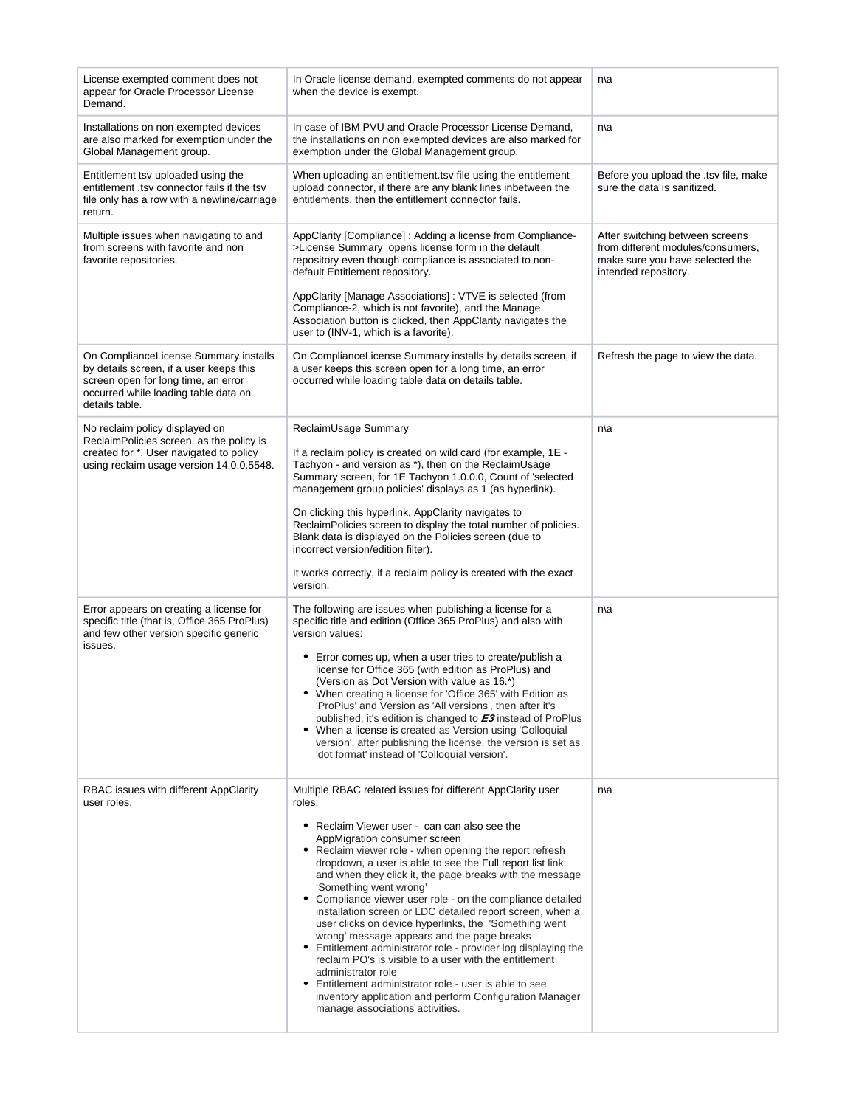| License exempted comment does not<br>appear for Oracle Processor License<br>Demand.                                                                                               | In Oracle license demand, exempted comments do not appear<br>when the device is exempt.                                                                                                                                                                                                                                                                                                                                                                                                                                                                                                                                                                                                                                                                                                                                                                                                                        | n\a                                                                                                                             |
|-----------------------------------------------------------------------------------------------------------------------------------------------------------------------------------|----------------------------------------------------------------------------------------------------------------------------------------------------------------------------------------------------------------------------------------------------------------------------------------------------------------------------------------------------------------------------------------------------------------------------------------------------------------------------------------------------------------------------------------------------------------------------------------------------------------------------------------------------------------------------------------------------------------------------------------------------------------------------------------------------------------------------------------------------------------------------------------------------------------|---------------------------------------------------------------------------------------------------------------------------------|
| Installations on non exempted devices<br>are also marked for exemption under the<br>Global Management group.                                                                      | In case of IBM PVU and Oracle Processor License Demand,<br>the installations on non exempted devices are also marked for<br>exemption under the Global Management group.                                                                                                                                                                                                                                                                                                                                                                                                                                                                                                                                                                                                                                                                                                                                       | n\a                                                                                                                             |
| Entitlement tsv uploaded using the<br>entitlement .tsv connector fails if the tsv<br>file only has a row with a newline/carriage<br>return.                                       | When uploading an entitlement.tsv file using the entitlement<br>upload connector, if there are any blank lines inbetween the<br>entitlements, then the entitlement connector fails.                                                                                                                                                                                                                                                                                                                                                                                                                                                                                                                                                                                                                                                                                                                            | Before you upload the .tsv file, make<br>sure the data is sanitized.                                                            |
| Multiple issues when navigating to and<br>from screens with favorite and non<br>favorite repositories.                                                                            | AppClarity [Compliance]: Adding a license from Compliance-<br>>License Summary opens license form in the default<br>repository even though compliance is associated to non-<br>default Entitlement repository.<br>AppClarity [Manage Associations]: VTVE is selected (from<br>Compliance-2, which is not favorite), and the Manage                                                                                                                                                                                                                                                                                                                                                                                                                                                                                                                                                                             | After switching between screens<br>from different modules/consumers,<br>make sure you have selected the<br>intended repository. |
|                                                                                                                                                                                   | Association button is clicked, then AppClarity navigates the<br>user to (INV-1, which is a favorite).                                                                                                                                                                                                                                                                                                                                                                                                                                                                                                                                                                                                                                                                                                                                                                                                          |                                                                                                                                 |
| On ComplianceLicense Summary installs<br>by details screen, if a user keeps this<br>screen open for long time, an error<br>occurred while loading table data on<br>details table. | On ComplianceLicense Summary installs by details screen, if<br>a user keeps this screen open for a long time, an error<br>occurred while loading table data on details table.                                                                                                                                                                                                                                                                                                                                                                                                                                                                                                                                                                                                                                                                                                                                  | Refresh the page to view the data.                                                                                              |
| No reclaim policy displayed on<br>ReclaimPolicies screen, as the policy is<br>created for *. User navigated to policy<br>using reclaim usage version 14.0.0.5548.                 | ReclaimUsage Summary<br>If a reclaim policy is created on wild card (for example, 1E -<br>Tachyon - and version as *), then on the ReclaimUsage<br>Summary screen, for 1E Tachyon 1.0.0.0, Count of 'selected<br>management group policies' displays as 1 (as hyperlink).<br>On clicking this hyperlink, AppClarity navigates to<br>ReclaimPolicies screen to display the total number of policies.<br>Blank data is displayed on the Policies screen (due to<br>incorrect version/edition filter).<br>It works correctly, if a reclaim policy is created with the exact<br>version.                                                                                                                                                                                                                                                                                                                           | n\a                                                                                                                             |
| Error appears on creating a license for<br>specific title (that is, Office 365 ProPlus)<br>and few other version specific generic<br>issues.                                      | The following are issues when publishing a license for a<br>specific title and edition (Office 365 ProPlus) and also with<br>version values:<br>• Error comes up, when a user tries to create/publish a<br>license for Office 365 (with edition as ProPlus) and<br>(Version as Dot Version with value as 16.*)<br>When creating a license for 'Office 365' with Edition as<br>'ProPlus' and Version as 'All versions', then after it's<br>published, it's edition is changed to <b>E3</b> instead of ProPlus<br>• When a license is created as Version using 'Colloquial<br>version', after publishing the license, the version is set as<br>'dot format' instead of 'Colloquial version'.                                                                                                                                                                                                                     | n\a                                                                                                                             |
| RBAC issues with different AppClarity<br>user roles.                                                                                                                              | Multiple RBAC related issues for different AppClarity user<br>roles:<br>• Reclaim Viewer user - can can also see the<br>AppMigration consumer screen<br>• Reclaim viewer role - when opening the report refresh<br>dropdown, a user is able to see the Full report list link<br>and when they click it, the page breaks with the message<br>'Something went wrong'<br>• Compliance viewer user role - on the compliance detailed<br>installation screen or LDC detailed report screen, when a<br>user clicks on device hyperlinks, the 'Something went<br>wrong' message appears and the page breaks<br>• Entitlement administrator role - provider log displaying the<br>reclaim PO's is visible to a user with the entitlement<br>administrator role<br>• Entitlement administrator role - user is able to see<br>inventory application and perform Configuration Manager<br>manage associations activities. | n\a                                                                                                                             |